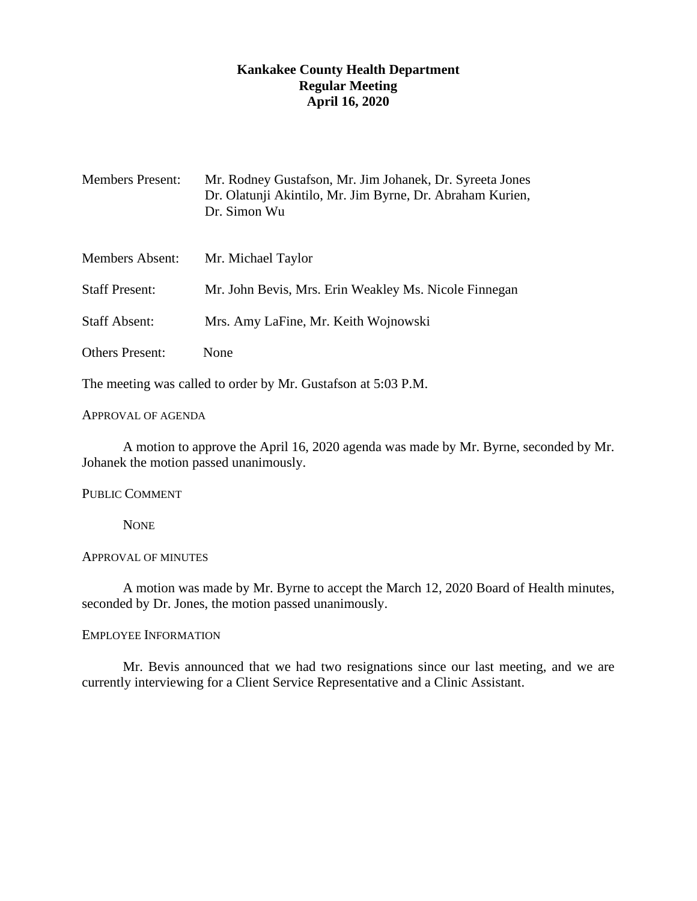# **Kankakee County Health Department Regular Meeting April 16, 2020**

| <b>Members Present:</b>                                       | Mr. Rodney Gustafson, Mr. Jim Johanek, Dr. Syreeta Jones<br>Dr. Olatunji Akintilo, Mr. Jim Byrne, Dr. Abraham Kurien,<br>Dr. Simon Wu |
|---------------------------------------------------------------|---------------------------------------------------------------------------------------------------------------------------------------|
| <b>Members Absent:</b>                                        | Mr. Michael Taylor                                                                                                                    |
| <b>Staff Present:</b>                                         | Mr. John Bevis, Mrs. Erin Weakley Ms. Nicole Finnegan                                                                                 |
| <b>Staff Absent:</b>                                          | Mrs. Amy LaFine, Mr. Keith Wojnowski                                                                                                  |
| <b>Others Present:</b>                                        | None                                                                                                                                  |
| The meeting was called to order by Mr. Gustafson at 5:03 P.M. |                                                                                                                                       |

#### APPROVAL OF AGENDA

A motion to approve the April 16, 2020 agenda was made by Mr. Byrne, seconded by Mr. Johanek the motion passed unanimously.

### PUBLIC COMMENT

**NONE** 

## APPROVAL OF MINUTES

A motion was made by Mr. Byrne to accept the March 12, 2020 Board of Health minutes, seconded by Dr. Jones, the motion passed unanimously.

# EMPLOYEE INFORMATION

Mr. Bevis announced that we had two resignations since our last meeting, and we are currently interviewing for a Client Service Representative and a Clinic Assistant.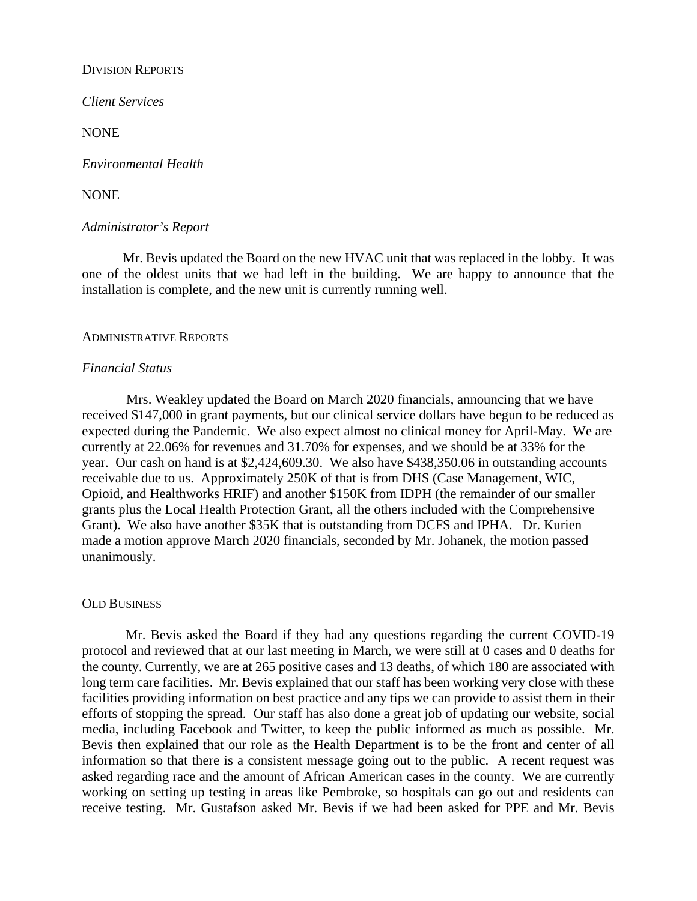### DIVISION REPORTS

*Client Services*

NONE

*Environmental Health* 

NONE

## *Administrator's Report*

Mr. Bevis updated the Board on the new HVAC unit that was replaced in the lobby. It was one of the oldest units that we had left in the building. We are happy to announce that the installation is complete, and the new unit is currently running well.

### ADMINISTRATIVE REPORTS

## *Financial Status*

Mrs. Weakley updated the Board on March 2020 financials, announcing that we have received \$147,000 in grant payments, but our clinical service dollars have begun to be reduced as expected during the Pandemic. We also expect almost no clinical money for April-May. We are currently at 22.06% for revenues and 31.70% for expenses, and we should be at 33% for the year. Our cash on hand is at \$2,424,609.30. We also have \$438,350.06 in outstanding accounts receivable due to us. Approximately 250K of that is from DHS (Case Management, WIC, Opioid, and Healthworks HRIF) and another \$150K from IDPH (the remainder of our smaller grants plus the Local Health Protection Grant, all the others included with the Comprehensive Grant). We also have another \$35K that is outstanding from DCFS and IPHA. Dr. Kurien made a motion approve March 2020 financials, seconded by Mr. Johanek, the motion passed unanimously.

### OLD BUSINESS

Mr. Bevis asked the Board if they had any questions regarding the current COVID-19 protocol and reviewed that at our last meeting in March, we were still at 0 cases and 0 deaths for the county. Currently, we are at 265 positive cases and 13 deaths, of which 180 are associated with long term care facilities. Mr. Bevis explained that our staff has been working very close with these facilities providing information on best practice and any tips we can provide to assist them in their efforts of stopping the spread. Our staff has also done a great job of updating our website, social media, including Facebook and Twitter, to keep the public informed as much as possible. Mr. Bevis then explained that our role as the Health Department is to be the front and center of all information so that there is a consistent message going out to the public. A recent request was asked regarding race and the amount of African American cases in the county. We are currently working on setting up testing in areas like Pembroke, so hospitals can go out and residents can receive testing. Mr. Gustafson asked Mr. Bevis if we had been asked for PPE and Mr. Bevis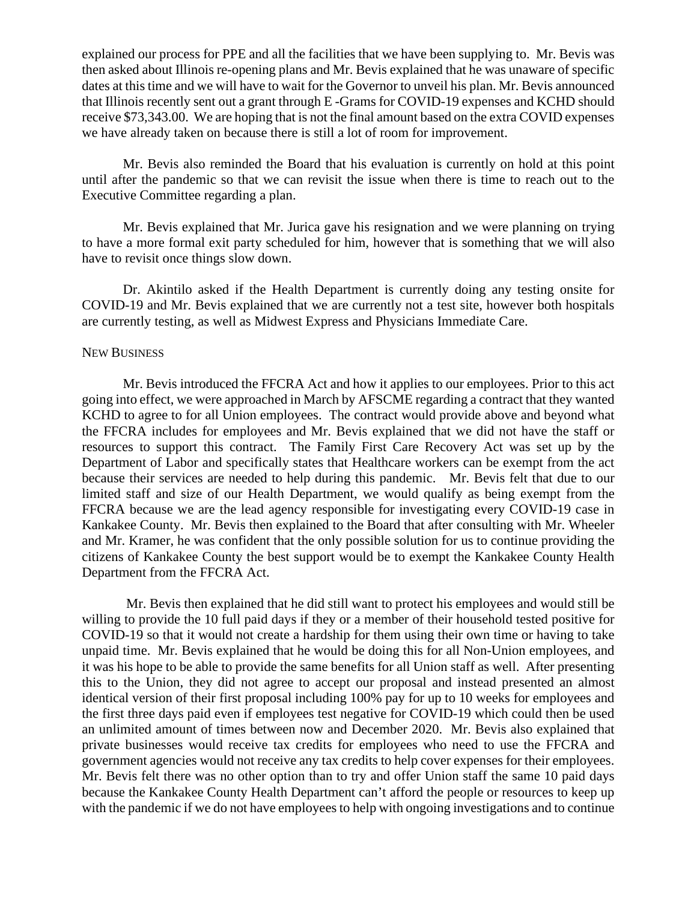explained our process for PPE and all the facilities that we have been supplying to. Mr. Bevis was then asked about Illinois re-opening plans and Mr. Bevis explained that he was unaware of specific dates at this time and we will have to wait for the Governor to unveil his plan. Mr. Bevis announced that Illinois recently sent out a grant through E -Grams for COVID-19 expenses and KCHD should receive \$73,343.00. We are hoping that is not the final amount based on the extra COVID expenses we have already taken on because there is still a lot of room for improvement.

Mr. Bevis also reminded the Board that his evaluation is currently on hold at this point until after the pandemic so that we can revisit the issue when there is time to reach out to the Executive Committee regarding a plan.

Mr. Bevis explained that Mr. Jurica gave his resignation and we were planning on trying to have a more formal exit party scheduled for him, however that is something that we will also have to revisit once things slow down.

Dr. Akintilo asked if the Health Department is currently doing any testing onsite for COVID-19 and Mr. Bevis explained that we are currently not a test site, however both hospitals are currently testing, as well as Midwest Express and Physicians Immediate Care.

#### NEW BUSINESS

Mr. Bevis introduced the FFCRA Act and how it applies to our employees. Prior to this act going into effect, we were approached in March by AFSCME regarding a contract that they wanted KCHD to agree to for all Union employees. The contract would provide above and beyond what the FFCRA includes for employees and Mr. Bevis explained that we did not have the staff or resources to support this contract. The Family First Care Recovery Act was set up by the Department of Labor and specifically states that Healthcare workers can be exempt from the act because their services are needed to help during this pandemic. Mr. Bevis felt that due to our limited staff and size of our Health Department, we would qualify as being exempt from the FFCRA because we are the lead agency responsible for investigating every COVID-19 case in Kankakee County. Mr. Bevis then explained to the Board that after consulting with Mr. Wheeler and Mr. Kramer, he was confident that the only possible solution for us to continue providing the citizens of Kankakee County the best support would be to exempt the Kankakee County Health Department from the FFCRA Act.

Mr. Bevis then explained that he did still want to protect his employees and would still be willing to provide the 10 full paid days if they or a member of their household tested positive for COVID-19 so that it would not create a hardship for them using their own time or having to take unpaid time. Mr. Bevis explained that he would be doing this for all Non-Union employees, and it was his hope to be able to provide the same benefits for all Union staff as well. After presenting this to the Union, they did not agree to accept our proposal and instead presented an almost identical version of their first proposal including 100% pay for up to 10 weeks for employees and the first three days paid even if employees test negative for COVID-19 which could then be used an unlimited amount of times between now and December 2020. Mr. Bevis also explained that private businesses would receive tax credits for employees who need to use the FFCRA and government agencies would not receive any tax credits to help cover expenses for their employees. Mr. Bevis felt there was no other option than to try and offer Union staff the same 10 paid days because the Kankakee County Health Department can't afford the people or resources to keep up with the pandemic if we do not have employees to help with ongoing investigations and to continue